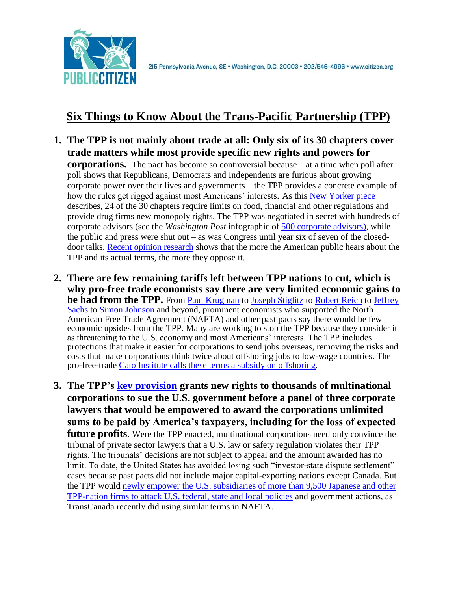

## **Six Things to Know About the Trans-Pacific Partnership (TPP)**

**1. The TPP is not mainly about trade at all: Only six of its 30 chapters cover trade matters while most provide specific new rights and powers for** 

**corporations.** The pact has become so controversial because – at a time when poll after poll shows that Republicans, Democrats and Independents are furious about growing corporate power over their lives and governments – the TPP provides a concrete example of how the rules get rigged against most Americans' interests. As this [New Yorker piece](http://www.newyorker.com/news/daily-comment/the-corporate-friendly-world-of-the-t-p-p?mbid=rss) describes, 24 of the 30 chapters require limits on food, financial and other regulations and provide drug firms new monopoly rights. The TPP was negotiated in secret with hundreds of corporate advisors (see the *Washington Post* infographic of [500 corporate advisors\),](https://www.washingtonpost.com/business/economy/trade-deals-a-closely-held-secret-shared-by-more-than-500-advisers/2014/02/28/7daa65ec-9d99-11e3-a050-dc3322a94fa7_story.html) while the public and press were shut out – as was Congress until year six of seven of the closeddoor talks. [Recent opinion research](http://www.citizen.org/documents/Greenberg-Polling-Memo-July-2016.pdf) shows that the more the American public hears about the TPP and its actual terms, the more they oppose it.

- **2. There are few remaining tariffs left between TPP nations to cut, which is why pro-free trade economists say there are very limited economic gains to be had from the TPP.** From [Paul Krugman](http://www.nytimes.com/2015/05/22/opinion/paul-krugman-trade-and-trust.html) to [Joseph Stiglitz](http://rooseveltinstitute.org/why-tpp-bad-deal-america-and-american-workers/) to [Robert Reich](http://www.newsweek.com/free-trade-puts-americans-out-work-robert-reich-tpp-436994) to Jeffrey [Sachs](http://www.huffingtonpost.com/jeffrey-sachs/tpp-flawed-vote-congress_b_8534286.html) to [Simon Johnson](https://democrats-waysandmeans.house.gov/sites/democrats.waysandmeans.house.gov/files/documents/Testimony%20-%20ITC%20TPP%20Report%20-%20January%2013,%202016.pdf) and beyond, prominent economists who supported the North American Free Trade Agreement (NAFTA) and other past pacts say there would be few economic upsides from the TPP. Many are working to stop the TPP because they consider it as threatening to the U.S. economy and most Americans' interests. The TPP includes protections that make it easier for corporations to send jobs overseas, removing the risks and costs that make corporations think twice about offshoring jobs to low-wage countries. The pro-free-trade [Cato Institute calls these terms a subsidy on offshoring.](http://www.cato.org/publications/free-trade-bulletin/compromise-advance-trade-agenda-purge-negotiations-investor-state)
- **3. The TPP's [key provision](http://ccsi.columbia.edu/files/2016/02/AIB-Insights-Vol.-16-Issue-1-The-outsized-costs-of-ISDS-Johnson-Sachs-Feb-2016.pdf) grants new rights to thousands of multinational corporations to sue the U.S. government before a panel of three corporate lawyers that would be empowered to award the corporations unlimited sums to be paid by America's taxpayers, including for the loss of expected future profits**. Were the TPP enacted, multinational corporations need only convince the tribunal of private sector lawyers that a U.S. law or safety regulation violates their TPP rights. The tribunals' decisions are not subject to appeal and the amount awarded has no limit. To date, the United States has avoided losing such "investor-state dispute settlement" cases because past pacts did not include major capital-exporting nations except Canada. But the TPP would [newly empower the U.S. subsidiaries of more than 9,500 Japanese and other](http://www.citizen.org/Page.aspx?pid=4083)  [TPP-nation firms to attack U.S. federal, state and local policies](http://www.citizen.org/Page.aspx?pid=4083) and government actions, as TransCanada recently did using similar terms in NAFTA.